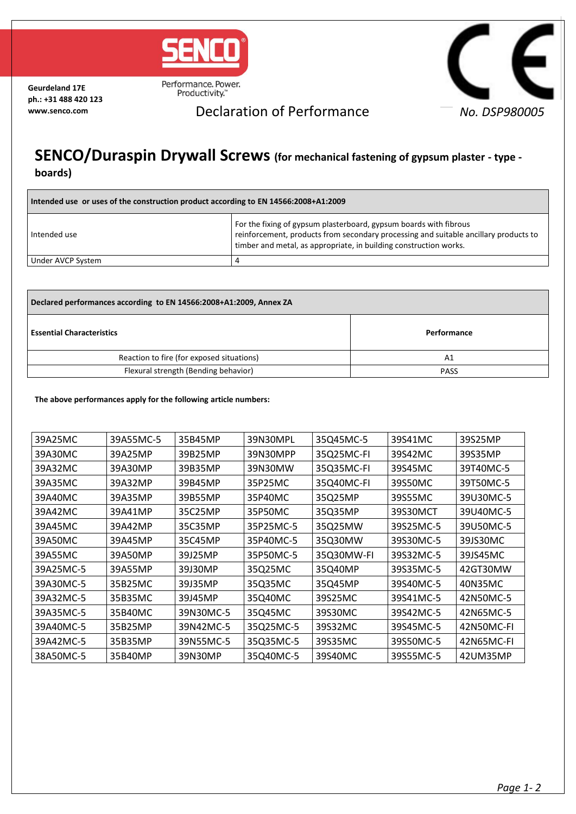

**Geurdeland 17E ph.: +31 488 420 123**

Productivity.™



## **www.senco.com** Declaration of Performance

## **SENCO/Duraspin Drywall Screws (for mechanical fastening of gypsum plaster - type boards)**

| Intended use or uses of the construction product according to EN 14566:2008+A1:2009 |                                                                                                                                                                                                                                |  |  |  |
|-------------------------------------------------------------------------------------|--------------------------------------------------------------------------------------------------------------------------------------------------------------------------------------------------------------------------------|--|--|--|
| l Intended use                                                                      | For the fixing of gypsum plasterboard, gypsum boards with fibrous<br>reinforcement, products from secondary processing and suitable ancillary products to<br>timber and metal, as appropriate, in building construction works. |  |  |  |
| Under AVCP System                                                                   |                                                                                                                                                                                                                                |  |  |  |

| Declared performances according to EN 14566:2008+A1:2009, Annex ZA |             |  |  |  |
|--------------------------------------------------------------------|-------------|--|--|--|
| <b>Essential Characteristics</b>                                   | Performance |  |  |  |
| Reaction to fire (for exposed situations)                          | Α1          |  |  |  |
| Flexural strength (Bending behavior)                               | <b>PASS</b> |  |  |  |

## **The above performances apply for the following article numbers:**

| 39A25MC   | 39A55MC-5 | 35B45MP   | 39N30MPL  | 35Q45MC-5  | 39S41MC   | 39S25MP    |
|-----------|-----------|-----------|-----------|------------|-----------|------------|
| 39A30MC   | 39A25MP   | 39B25MP   | 39N30MPP  | 35Q25MC-FI | 39S42MC   | 39S35MP    |
| 39A32MC   | 39A30MP   | 39B35MP   | 39N30MW   | 35Q35MC-FI | 39S45MC   | 39T40MC-5  |
| 39A35MC   | 39A32MP   | 39B45MP   | 35P25MC   | 35Q40MC-FI | 39S50MC   | 39T50MC-5  |
| 39A40MC   | 39A35MP   | 39B55MP   | 35P40MC   | 35Q25MP    | 39S55MC   | 39U30MC-5  |
| 39A42MC   | 39A41MP   | 35C25MP   | 35P50MC   | 35Q35MP    | 39S30MCT  | 39U40MC-5  |
| 39A45MC   | 39A42MP   | 35C35MP   | 35P25MC-5 | 35Q25MW    | 39S25MC-5 | 39U50MC-5  |
| 39A50MC   | 39A45MP   | 35C45MP   | 35P40MC-5 | 35Q30MW    | 39S30MC-5 | 39JS30MC   |
| 39A55MC   | 39A50MP   | 39J25MP   | 35P50MC-5 | 35Q30MW-FI | 39S32MC-5 | 39JS45MC   |
| 39A25MC-5 | 39A55MP   | 39J30MP   | 35Q25MC   | 35Q40MP    | 39S35MC-5 | 42GT30MW   |
| 39A30MC-5 | 35B25MC   | 39J35MP   | 35Q35MC   | 35Q45MP    | 39S40MC-5 | 40N35MC    |
| 39A32MC-5 | 35B35MC   | 39J45MP   | 35Q40MC   | 39S25MC    | 39S41MC-5 | 42N50MC-5  |
| 39A35MC-5 | 35B40MC   | 39N30MC-5 | 35Q45MC   | 39S30MC    | 39S42MC-5 | 42N65MC-5  |
| 39A40MC-5 | 35B25MP   | 39N42MC-5 | 35Q25MC-5 | 39S32MC    | 39S45MC-5 | 42N50MC-FI |
| 39A42MC-5 | 35B35MP   | 39N55MC-5 | 35Q35MC-5 | 39S35MC    | 39S50MC-5 | 42N65MC-FI |
| 38A50MC-5 | 35B40MP   | 39N30MP   | 35Q40MC-5 | 39S40MC    | 39S55MC-5 | 42UM35MP   |